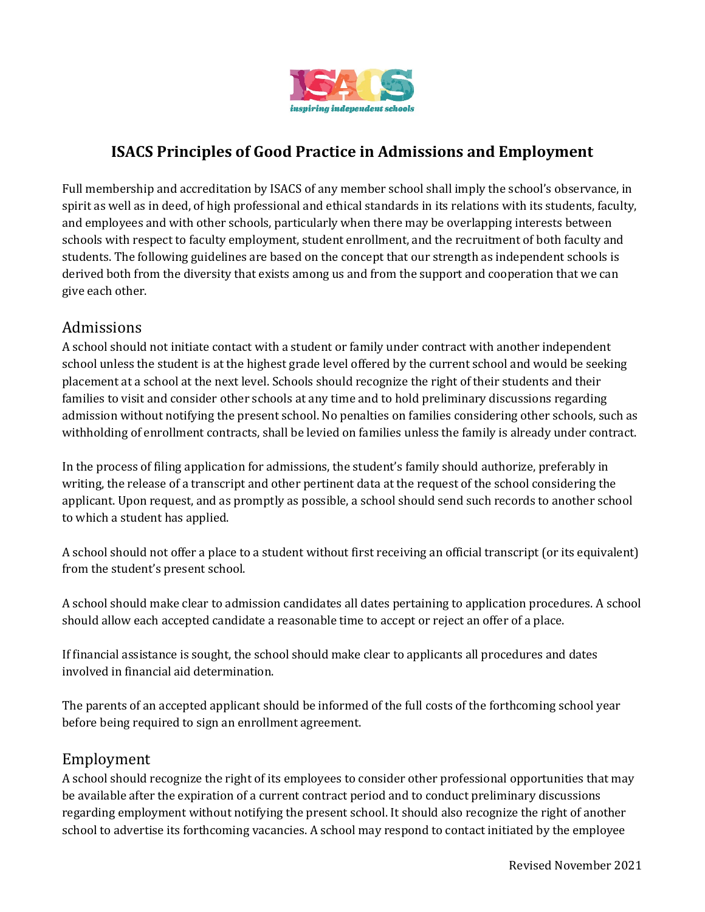

## **ISACS Principles of Good Practice in Admissions and Employment**

Full membership and accreditation by ISACS of any member school shall imply the school's observance, in spirit as well as in deed, of high professional and ethical standards in its relations with its students, faculty, and employees and with other schools, particularly when there may be overlapping interests between schools with respect to faculty employment, student enrollment, and the recruitment of both faculty and students. The following guidelines are based on the concept that our strength as independent schools is derived both from the diversity that exists among us and from the support and cooperation that we can give each other.

## Admissions

A school should not initiate contact with a student or family under contract with another independent school unless the student is at the highest grade level offered by the current school and would be seeking placement at a school at the next level. Schools should recognize the right of their students and their families to visit and consider other schools at any time and to hold preliminary discussions regarding admission without notifying the present school. No penalties on families considering other schools, such as withholding of enrollment contracts, shall be levied on families unless the family is already under contract.

In the process of filing application for admissions, the student's family should authorize, preferably in writing, the release of a transcript and other pertinent data at the request of the school considering the applicant. Upon request, and as promptly as possible, a school should send such records to another school to which a student has applied.

A school should not offer a place to a student without first receiving an official transcript (or its equivalent) from the student's present school.

A school should make clear to admission candidates all dates pertaining to application procedures. A school should allow each accepted candidate a reasonable time to accept or reject an offer of a place.

If financial assistance is sought, the school should make clear to applicants all procedures and dates involved in financial aid determination.

The parents of an accepted applicant should be informed of the full costs of the forthcoming school year before being required to sign an enrollment agreement.

## Employment

A school should recognize the right of its employees to consider other professional opportunities that may be available after the expiration of a current contract period and to conduct preliminary discussions regarding employment without notifying the present school. It should also recognize the right of another school to advertise its forthcoming vacancies. A school may respond to contact initiated by the employee